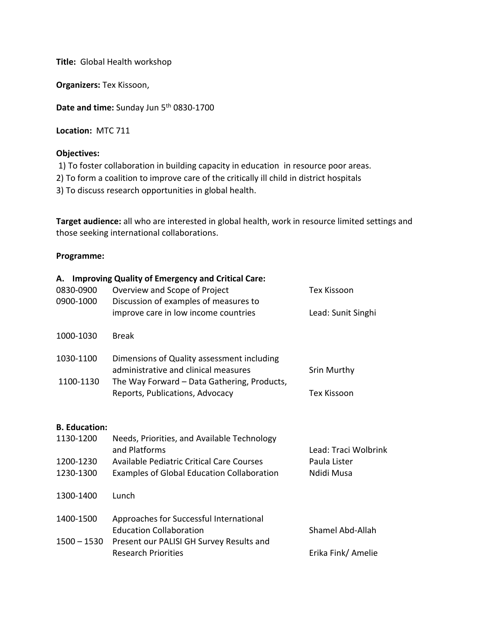**Title:** Global Health workshop

**Organizers:** Tex Kissoon,

**Date and time:** Sunday Jun 5th 0830-1700

**Location:** MTC 711

## **Objectives:**

1) To foster collaboration in building capacity in education in resource poor areas.

2) To form a coalition to improve care of the critically ill child in district hospitals

3) To discuss research opportunities in global health.

**Target audience:** all who are interested in global health, work in resource limited settings and those seeking international collaborations.

## **Programme:**

| А.                   | <b>Improving Quality of Emergency and Critical Care:</b>                            |                      |
|----------------------|-------------------------------------------------------------------------------------|----------------------|
| 0830-0900            | Overview and Scope of Project                                                       | <b>Tex Kissoon</b>   |
| 0900-1000            | Discussion of examples of measures to                                               |                      |
|                      | improve care in low income countries                                                | Lead: Sunit Singhi   |
| 1000-1030            | <b>Break</b>                                                                        |                      |
| 1030-1100            | Dimensions of Quality assessment including                                          |                      |
| 1100-1130            | administrative and clinical measures<br>The Way Forward - Data Gathering, Products, | Srin Murthy          |
|                      | Reports, Publications, Advocacy                                                     | <b>Tex Kissoon</b>   |
| <b>B.</b> Education: |                                                                                     |                      |
| 1130-1200            | Needs, Priorities, and Available Technology<br>and Platforms                        | Lead: Traci Wolbrink |
| 1200-1230            | Available Pediatric Critical Care Courses                                           | Paula Lister         |
| 1230-1300            | <b>Examples of Global Education Collaboration</b>                                   | Ndidi Musa           |
| 1300-1400            | Lunch                                                                               |                      |
| 1400-1500            | Approaches for Successful International<br><b>Education Collaboration</b>           | Shamel Abd-Allah     |
| $1500 - 1530$        | Present our PALISI GH Survey Results and                                            |                      |
|                      | <b>Research Priorities</b>                                                          | Erika Fink/ Amelie   |